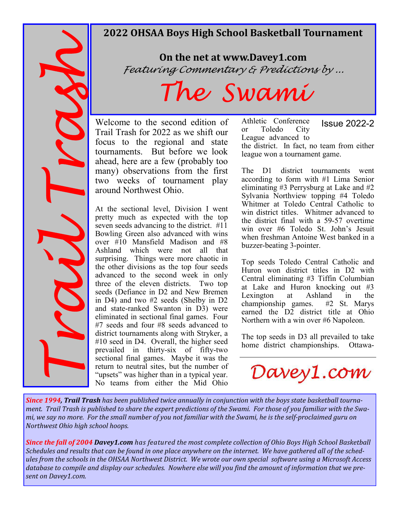# **2022 OHSAA Boys High School Basketball Tournament**

**Since 1994, Trail Trash is,**<br> **Since 1994, Trail Trash is,**<br>
Morthwest Ohio high<br>
Since the fall of 200<br>
Schedules and results<br>
database to compile<br>
sent on Davey1.com.

# **On the net at www.Davey1.com** Featuring Commentary & Predictions by ...

# The Swami

Welcome to the second edition of Trail Trash for 2022 as we shift our focus to the regional and state tournaments. But before we look ahead, here are a few (probably too many) observations from the first two weeks of tournament play around Northwest Ohio.

At the sectional level, Division I went pretty much as expected with the top seven seeds advancing to the district. #11 Bowling Green also advanced with wins over #10 Mansfield Madison and #8 Ashland which were not all that surprising. Things were more chaotic in the other divisions as the top four seeds advanced to the second week in only three of the eleven districts. Two top seeds (Defiance in D2 and New Bremen in D4) and two #2 seeds (Shelby in D2 and state-ranked Swanton in D3) were eliminated in sectional final games. Four #7 seeds and four #8 seeds advanced to district tournaments along with Stryker, a #10 seed in D4. Overall, the higher seed prevailed in thirty-six of fifty-two sectional final games. Maybe it was the return to neutral sites, but the number of "upsets" was higher than in a typical year. No teams from either the Mid Ohio Athletic Conference or Toledo City League advanced to the district. In fact, no team from either league won a tournament game. Issue 2022-2

The D1 district tournaments went according to form with #1 Lima Senior eliminating #3 Perrysburg at Lake and #2 Sylvania Northview topping #4 Toledo Whitmer at Toledo Central Catholic to win district titles. Whitmer advanced to the district final with a 59-57 overtime win over #6 Toledo St. John's Jesuit when freshman Antoine West banked in a buzzer-beating 3-pointer.

Top seeds Toledo Central Catholic and Huron won district titles in D2 with Central eliminating #3 Tiffin Columbian at Lake and Huron knocking out #3<br>Lexington at Ashland in the Lexington at Ashland in the championship games.  $#2$  St. Marys championship games. earned the D2 district title at Ohio Northern with a win over #6 Napoleon.

The top seeds in D3 all prevailed to take home district championships. Ottawa-



*Since 1994, Trail Trash has been published twice annually in conjunction with the boys state basketball tournament. Trail Trash is published to share the expert predictions of the Swami. For those of you familiar with the Swami,* we say no more. For the small number of you not familiar with the Swami, he is the self-proclaimed guru on *Northwest Ohio high school hoops.* 

*Since the fall of 2004 Davey1.com* has featured the most complete collection of Ohio Boys High School Basketball *Schedules* and results that can be found in one place anywhere on the internet. We have gathered all of the schedules from the schools in the OHSAA Northwest District. We wrote our own special software using a Microsoft Access database to compile and display our schedules. Nowhere else will you find the amount of information that we present on Davey1.com.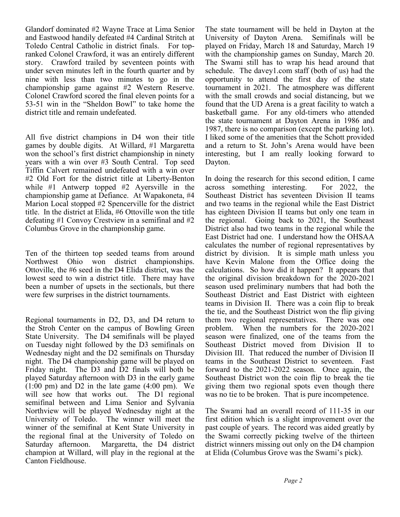Glandorf dominated #2 Wayne Trace at Lima Senior and Eastwood handily defeated #4 Cardinal Stritch at Toledo Central Catholic in district finals. For topranked Colonel Crawford, it was an entirely different story. Crawford trailed by seventeen points with under seven minutes left in the fourth quarter and by nine with less than two minutes to go in the championship game against #2 Western Reserve. Colonel Crawford scored the final eleven points for a 53-51 win in the "Sheldon Bowl" to take home the district title and remain undefeated.

All five district champions in D4 won their title games by double digits. At Willard, #1 Margaretta won the school's first district championship in ninety years with a win over #3 South Central. Top seed Tiffin Calvert remained undefeated with a win over #2 Old Fort for the district title at Liberty-Benton while #1 Antwerp topped #2 Ayersville in the championship game at Defiance. At Wapakoneta, #4 Marion Local stopped #2 Spencerville for the district title. In the district at Elida, #6 Ottoville won the title defeating #1 Convoy Crestview in a semifinal and #2 Columbus Grove in the championship game.

Ten of the thirteen top seeded teams from around Northwest Ohio won district championships. Ottoville, the #6 seed in the D4 Elida district, was the lowest seed to win a district title. There may have been a number of upsets in the sectionals, but there were few surprises in the district tournaments.

Regional tournaments in D2, D3, and D4 return to the Stroh Center on the campus of Bowling Green State University. The D4 semifinals will be played on Tuesday night followed by the D3 semifinals on Wednesday night and the D2 semifinals on Thursday night. The D4 championship game will be played on Friday night. The D3 and D2 finals will both be played Saturday afternoon with D3 in the early game (1:00 pm) and D2 in the late game (4:00 pm). We will see how that works out. The D1 regional semifinal between and Lima Senior and Sylvania Northview will be played Wednesday night at the University of Toledo. The winner will meet the winner of the semifinal at Kent State University in the regional final at the University of Toledo on Saturday afternoon. Margaretta, the D4 district champion at Willard, will play in the regional at the Canton Fieldhouse.

The state tournament will be held in Dayton at the University of Dayton Arena. Semifinals will be played on Friday, March 18 and Saturday, March 19 with the championship games on Sunday, March 20. The Swami still has to wrap his head around that schedule. The davey1.com staff (both of us) had the opportunity to attend the first day of the state tournament in 2021. The atmosphere was different with the small crowds and social distancing, but we found that the UD Arena is a great facility to watch a basketball game. For any old-timers who attended the state tournament at Dayton Arena in 1986 and 1987, there is no comparison (except the parking lot). I liked some of the amenities that the Schott provided and a return to St. John's Arena would have been interesting, but I am really looking forward to Dayton.

In doing the research for this second edition, I came<br>across something interesting. For 2022, the across something interesting. Southeast District has seventeen Division II teams and two teams in the regional while the East District has eighteen Division II teams but only one team in the regional. Going back to 2021, the Southeast District also had two teams in the regional while the East District had one. I understand how the OHSAA calculates the number of regional representatives by district by division. It is simple math unless you have Kevin Malone from the Office doing the calculations. So how did it happen? It appears that the original division breakdown for the 2020-2021 season used preliminary numbers that had both the Southeast District and East District with eighteen teams in Division II. There was a coin flip to break the tie, and the Southeast District won the flip giving them two regional representatives. There was one problem. When the numbers for the 2020-2021 season were finalized, one of the teams from the Southeast District moved from Division II to Division III. That reduced the number of Division II teams in the Southeast District to seventeen. Fast forward to the 2021-2022 season. Once again, the Southeast District won the coin flip to break the tie giving them two regional spots even though there was no tie to be broken. That is pure incompetence.

The Swami had an overall record of 111-35 in our first edition which is a slight improvement over the past couple of years. The record was aided greatly by the Swami correctly picking twelve of the thirteen district winners missing out only on the D4 champion at Elida (Columbus Grove was the Swami's pick).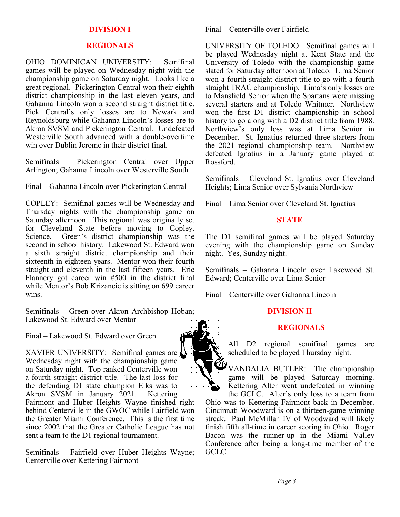## **DIVISION I**

#### **REGIONALS**

OHIO DOMINICAN UNIVERSITY: Semifinal games will be played on Wednesday night with the championship game on Saturday night. Looks like a great regional. Pickerington Central won their eighth district championship in the last eleven years, and Gahanna Lincoln won a second straight district title. Pick Central's only losses are to Newark and Reynoldsburg while Gahanna Lincoln's losses are to Akron SVSM and Pickerington Central. Undefeated Westerville South advanced with a double-overtime win over Dublin Jerome in their district final.

Semifinals – Pickerington Central over Upper Arlington; Gahanna Lincoln over Westerville South

Final – Gahanna Lincoln over Pickerington Central

COPLEY: Semifinal games will be Wednesday and Thursday nights with the championship game on Saturday afternoon. This regional was originally set for Cleveland State before moving to Copley. Science. Green's district championship was the second in school history. Lakewood St. Edward won a sixth straight district championship and their sixteenth in eighteen years. Mentor won their fourth straight and eleventh in the last fifteen years. Eric Flannery got career win #500 in the district final while Mentor's Bob Krizancic is sitting on 699 career wins.

Semifinals – Green over Akron Archbishop Hoban; Lakewood St. Edward over Mentor

Final – Lakewood St. Edward over Green

XAVIER UNIVERSITY: Semifinal games are Wednesday night with the championship game on Saturday night. Top ranked Centerville won a fourth straight district title. The last loss for the defending D1 state champion Elks was to Akron SVSM in January 2021. Kettering Fairmont and Huber Heights Wayne finished right behind Centerville in the GWOC while Fairfield won the Greater Miami Conference. This is the first time since 2002 that the Greater Catholic League has not sent a team to the D1 regional tournament.

Semifinals – Fairfield over Huber Heights Wayne; Centerville over Kettering Fairmont

Final – Centerville over Fairfield

UNIVERSITY OF TOLEDO: Semifinal games will be played Wednesday night at Kent State and the University of Toledo with the championship game slated for Saturday afternoon at Toledo. Lima Senior won a fourth straight district title to go with a fourth straight TRAC championship. Lima's only losses are to Mansfield Senior when the Spartans were missing several starters and at Toledo Whitmer. Northview won the first D1 district championship in school history to go along with a D2 district title from 1988. Northview's only loss was at Lima Senior in December. St. Ignatius returned three starters from the 2021 regional championship team. Northview defeated Ignatius in a January game played at Rossford.

Semifinals – Cleveland St. Ignatius over Cleveland Heights; Lima Senior over Sylvania Northview

Final – Lima Senior over Cleveland St. Ignatius

# **STATE**

The D1 semifinal games will be played Saturday evening with the championship game on Sunday night. Yes, Sunday night.

Semifinals – Gahanna Lincoln over Lakewood St. Edward; Centerville over Lima Senior

Final – Centerville over Gahanna Lincoln

# **DIVISION II**

#### **REGIONALS**

All D2 regional semifinal games are scheduled to be played Thursday night.

VANDALIA BUTLER: The championship game will be played Saturday morning. Kettering Alter went undefeated in winning

the GCLC. Alter's only loss to a team from Ohio was to Kettering Fairmont back in December. Cincinnati Woodward is on a thirteen-game winning streak. Paul McMillan IV of Woodward will likely finish fifth all-time in career scoring in Ohio. Roger Bacon was the runner-up in the Miami Valley Conference after being a long-time member of the GCLC.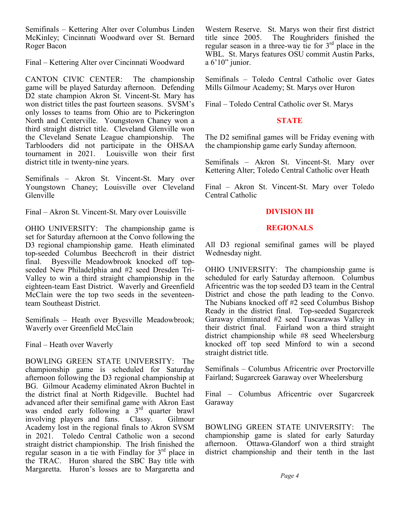Semifinals – Kettering Alter over Columbus Linden McKinley; Cincinnati Woodward over St. Bernard Roger Bacon

Final – Kettering Alter over Cincinnati Woodward

CANTON CIVIC CENTER: The championship game will be played Saturday afternoon. Defending D2 state champion Akron St. Vincent-St. Mary has won district titles the past fourteen seasons. SVSM's only losses to teams from Ohio are to Pickerington North and Centerville. Youngstown Chaney won a third straight district title. Cleveland Glenville won the Cleveland Senate League championship. The Tarblooders did not participate in the OHSAA tournament in 2021. Louisville won their first district title in twenty-nine years.

Semifinals – Akron St. Vincent-St. Mary over Youngstown Chaney; Louisville over Cleveland Glenville

Final – Akron St. Vincent-St. Mary over Louisville

OHIO UNIVERSITY: The championship game is set for Saturday afternoon at the Convo following the D3 regional championship game. Heath eliminated top-seeded Columbus Beechcroft in their district final. Byesville Meadowbrook knocked off topseeded New Philadelphia and #2 seed Dresden Tri-Valley to win a third straight championship in the eighteen-team East District. Waverly and Greenfield McClain were the top two seeds in the seventeenteam Southeast District.

Semifinals – Heath over Byesville Meadowbrook; Waverly over Greenfield McClain

Final – Heath over Waverly

BOWLING GREEN STATE UNIVERSITY: The championship game is scheduled for Saturday afternoon following the D3 regional championship at BG. Gilmour Academy eliminated Akron Buchtel in the district final at North Ridgeville. Buchtel had advanced after their semifinal game with Akron East was ended early following  $a^3$  3<sup>rd</sup> quarter brawl involving players and fans. Classy. Gilmour Academy lost in the regional finals to Akron SVSM in 2021. Toledo Central Catholic won a second straight district championship. The Irish finished the regular season in a tie with Findlay for  $3<sup>rd</sup>$  place in the TRAC. Huron shared the SBC Bay title with Margaretta. Huron's losses are to Margaretta and Western Reserve. St. Marys won their first district title since 2005. The Roughriders finished the regular season in a three-way tie for  $3<sup>rd</sup>$  place in the WBL. St. Marys features OSU commit Austin Parks, a 6'10" junior.

Semifinals – Toledo Central Catholic over Gates Mills Gilmour Academy; St. Marys over Huron

Final – Toledo Central Catholic over St. Marys

# **STATE**

The D2 semifinal games will be Friday evening with the championship game early Sunday afternoon.

Semifinals – Akron St. Vincent-St. Mary over Kettering Alter; Toledo Central Catholic over Heath

Final – Akron St. Vincent-St. Mary over Toledo Central Catholic

# **DIVISION III**

# **REGIONALS**

All D3 regional semifinal games will be played Wednesday night.

OHIO UNIVERSITY: The championship game is scheduled for early Saturday afternoon. Columbus Africentric was the top seeded D3 team in the Central District and chose the path leading to the Convo. The Nubians knocked off #2 seed Columbus Bishop Ready in the district final. Top-seeded Sugarcreek Garaway eliminated #2 seed Tuscarawas Valley in their district final. Fairland won a third straight district championship while #8 seed Wheelersburg knocked off top seed Minford to win a second straight district title.

Semifinals – Columbus Africentric over Proctorville Fairland; Sugarcreek Garaway over Wheelersburg

Final – Columbus Africentric over Sugarcreek Garaway

BOWLING GREEN STATE UNIVERSITY: The championship game is slated for early Saturday afternoon. Ottawa-Glandorf won a third straight district championship and their tenth in the last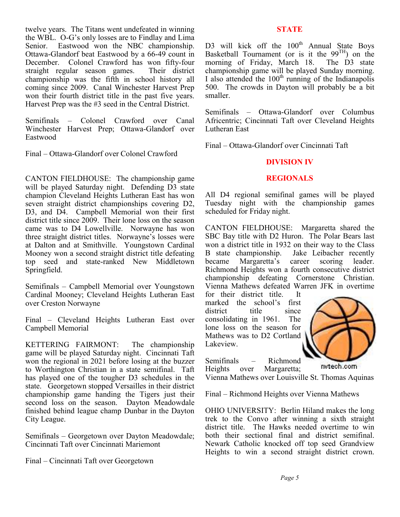twelve years. The Titans went undefeated in winning the WBL. O-G's only losses are to Findlay and Lima Senior. Eastwood won the NBC championship. Ottawa-Glandorf beat Eastwood by a 66-49 count in December. Colonel Crawford has won fifty-four straight regular season games. Their district championship was the fifth in school history all coming since 2009. Canal Winchester Harvest Prep won their fourth district title in the past five years. Harvest Prep was the #3 seed in the Central District.

Semifinals – Colonel Crawford over Canal Winchester Harvest Prep; Ottawa-Glandorf over Eastwood

Final – Ottawa-Glandorf over Colonel Crawford

CANTON FIELDHOUSE: The championship game will be played Saturday night. Defending D3 state champion Cleveland Heights Lutheran East has won seven straight district championships covering D2, D3, and D4. Campbell Memorial won their first district title since 2009. Their lone loss on the season came was to D4 Lowellville. Norwayne has won three straight district titles. Norwayne's losses were at Dalton and at Smithville. Youngstown Cardinal Mooney won a second straight district title defeating top seed and state-ranked New Middletown Springfield.

Semifinals – Campbell Memorial over Youngstown Cardinal Mooney; Cleveland Heights Lutheran East over Creston Norwayne

Final – Cleveland Heights Lutheran East over Campbell Memorial

KETTERING FAIRMONT: The championship game will be played Saturday night. Cincinnati Taft won the regional in 2021 before losing at the buzzer to Worthington Christian in a state semifinal. Taft has played one of the tougher D3 schedules in the state. Georgetown stopped Versailles in their district championship game handing the Tigers just their second loss on the season. Dayton Meadowdale finished behind league champ Dunbar in the Dayton City League.

Semifinals – Georgetown over Dayton Meadowdale; Cincinnati Taft over Cincinnati Mariemont

Final – Cincinnati Taft over Georgetown

# **STATE**

D3 will kick off the 100<sup>th</sup> Annual State Boys Basketball Tournament (or is it the  $99<sup>TH</sup>$ ) on the morning of Friday, March 18. The D3 state championship game will be played Sunday morning. I also attended the  $100<sup>th</sup>$  running of the Indianapolis 500. The crowds in Dayton will probably be a bit smaller.

Semifinals – Ottawa-Glandorf over Columbus Africentric; Cincinnati Taft over Cleveland Heights Lutheran East

Final – Ottawa-Glandorf over Cincinnati Taft

# **DIVISION IV**

## **REGIONALS**

All D4 regional semifinal games will be played Tuesday night with the championship games scheduled for Friday night.

CANTON FIELDHOUSE: Margaretta shared the SBC Bay title with D2 Huron. The Polar Bears last won a district title in 1932 on their way to the Class B state championship. Jake Leibacher recently became Margaretta's career scoring leader. Richmond Heights won a fourth consecutive district championship defeating Cornerstone Christian. Vienna Mathews defeated Warren JFK in overtime<br>for their district title. It

for their district title. marked the school's first<br>district title since district title consolidating in 1961. The lone loss on the season for Mathews was to D2 Cortland Lakeview.

Semifinals – Richmond Heights over Margaretta;

mitech.com

Vienna Mathews over Louisville St. Thomas Aquinas

Final – Richmond Heights over Vienna Mathews

OHIO UNIVERSITY: Berlin Hiland makes the long trek to the Convo after winning a sixth straight district title. The Hawks needed overtime to win both their sectional final and district semifinal. Newark Catholic knocked off top seed Grandview Heights to win a second straight district crown.